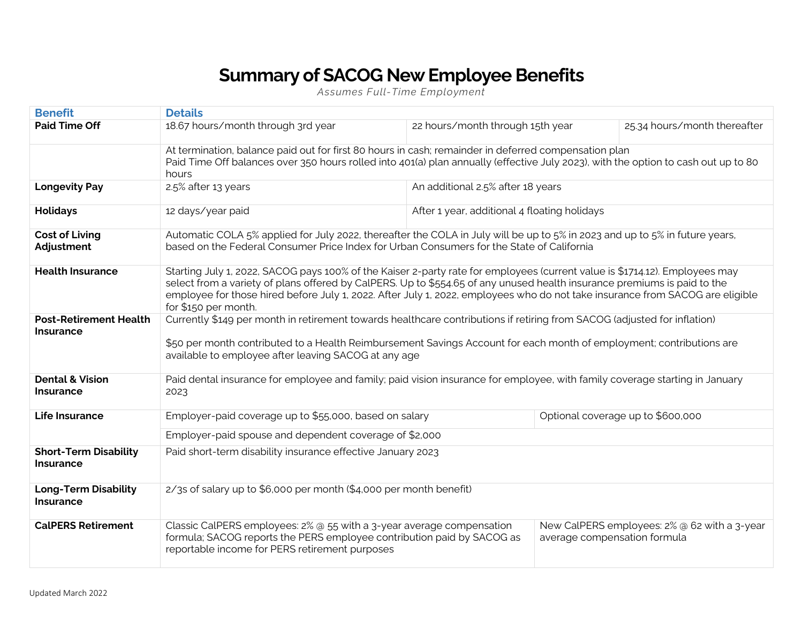## **Summary of SACOG New Employee Benefits**

*Assumes Full-Time Employment*

| <b>Benefit</b>                                   | <b>Details</b>                                                                                                                                                                                                                                                                                                                                                                                                   |                                   |                                              |                                              |  |
|--------------------------------------------------|------------------------------------------------------------------------------------------------------------------------------------------------------------------------------------------------------------------------------------------------------------------------------------------------------------------------------------------------------------------------------------------------------------------|-----------------------------------|----------------------------------------------|----------------------------------------------|--|
| <b>Paid Time Off</b>                             | 18.67 hours/month through 3rd year                                                                                                                                                                                                                                                                                                                                                                               | 22 hours/month through 15th year  |                                              | 25.34 hours/month thereafter                 |  |
|                                                  | At termination, balance paid out for first 80 hours in cash; remainder in deferred compensation plan<br>Paid Time Off balances over 350 hours rolled into 401(a) plan annually (effective July 2023), with the option to cash out up to 80<br>hours                                                                                                                                                              |                                   |                                              |                                              |  |
| <b>Longevity Pay</b>                             | 2.5% after 13 years                                                                                                                                                                                                                                                                                                                                                                                              | An additional 2.5% after 18 years |                                              |                                              |  |
| <b>Holidays</b>                                  | 12 days/year paid                                                                                                                                                                                                                                                                                                                                                                                                |                                   | After 1 year, additional 4 floating holidays |                                              |  |
| <b>Cost of Living</b><br>Adjustment              | Automatic COLA 5% applied for July 2022, thereafter the COLA in July will be up to 5% in 2023 and up to 5% in future years,<br>based on the Federal Consumer Price Index for Urban Consumers for the State of California                                                                                                                                                                                         |                                   |                                              |                                              |  |
| <b>Health Insurance</b>                          | Starting July 1, 2022, SACOG pays 100% of the Kaiser 2-party rate for employees (current value is \$1714.12). Employees may<br>select from a variety of plans offered by CalPERS. Up to \$554.65 of any unused health insurance premiums is paid to the<br>employee for those hired before July 1, 2022. After July 1, 2022, employees who do not take insurance from SACOG are eligible<br>for \$150 per month. |                                   |                                              |                                              |  |
| <b>Post-Retirement Health</b><br>Insurance       | Currently \$149 per month in retirement towards healthcare contributions if retiring from SACOG (adjusted for inflation)<br>\$50 per month contributed to a Health Reimbursement Savings Account for each month of employment; contributions are<br>available to employee after leaving SACOG at any age                                                                                                         |                                   |                                              |                                              |  |
| <b>Dental &amp; Vision</b><br><b>Insurance</b>   | Paid dental insurance for employee and family; paid vision insurance for employee, with family coverage starting in January<br>2023                                                                                                                                                                                                                                                                              |                                   |                                              |                                              |  |
| <b>Life Insurance</b>                            | Employer-paid coverage up to \$55,000, based on salary                                                                                                                                                                                                                                                                                                                                                           |                                   |                                              | Optional coverage up to \$600,000            |  |
|                                                  | Employer-paid spouse and dependent coverage of \$2,000                                                                                                                                                                                                                                                                                                                                                           |                                   |                                              |                                              |  |
| <b>Short-Term Disability</b><br><b>Insurance</b> | Paid short-term disability insurance effective January 2023                                                                                                                                                                                                                                                                                                                                                      |                                   |                                              |                                              |  |
| <b>Long-Term Disability</b><br><b>Insurance</b>  | 2/3s of salary up to \$6,000 per month (\$4,000 per month benefit)                                                                                                                                                                                                                                                                                                                                               |                                   |                                              |                                              |  |
| <b>CalPERS Retirement</b>                        | Classic CalPERS employees: 2% @ 55 with a 3-year average compensation<br>formula; SACOG reports the PERS employee contribution paid by SACOG as<br>reportable income for PERS retirement purposes                                                                                                                                                                                                                |                                   | average compensation formula                 | New CalPERS employees: 2% @ 62 with a 3-year |  |